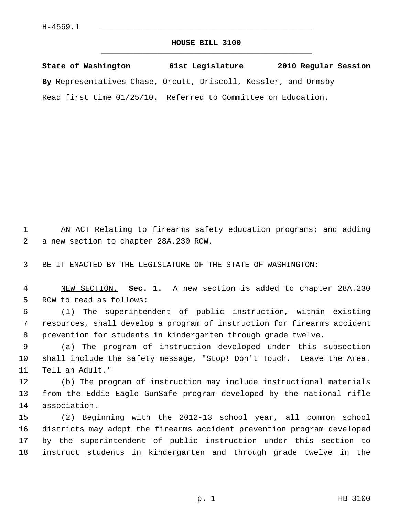## **HOUSE BILL 3100** \_\_\_\_\_\_\_\_\_\_\_\_\_\_\_\_\_\_\_\_\_\_\_\_\_\_\_\_\_\_\_\_\_\_\_\_\_\_\_\_\_\_\_\_\_

**State of Washington 61st Legislature 2010 Regular Session By** Representatives Chase, Orcutt, Driscoll, Kessler, and Ormsby Read first time 01/25/10. Referred to Committee on Education.

 1 AN ACT Relating to firearms safety education programs; and adding 2 a new section to chapter 28A.230 RCW.

3 BE IT ENACTED BY THE LEGISLATURE OF THE STATE OF WASHINGTON:

 4 NEW SECTION. **Sec. 1.** A new section is added to chapter 28A.230 5 RCW to read as follows:

 6 (1) The superintendent of public instruction, within existing 7 resources, shall develop a program of instruction for firearms accident 8 prevention for students in kindergarten through grade twelve.

 9 (a) The program of instruction developed under this subsection 10 shall include the safety message, "Stop! Don't Touch. Leave the Area. 11 Tell an Adult."

12 (b) The program of instruction may include instructional materials 13 from the Eddie Eagle GunSafe program developed by the national rifle 14 association.

15 (2) Beginning with the 2012-13 school year, all common school 16 districts may adopt the firearms accident prevention program developed 17 by the superintendent of public instruction under this section to 18 instruct students in kindergarten and through grade twelve in the